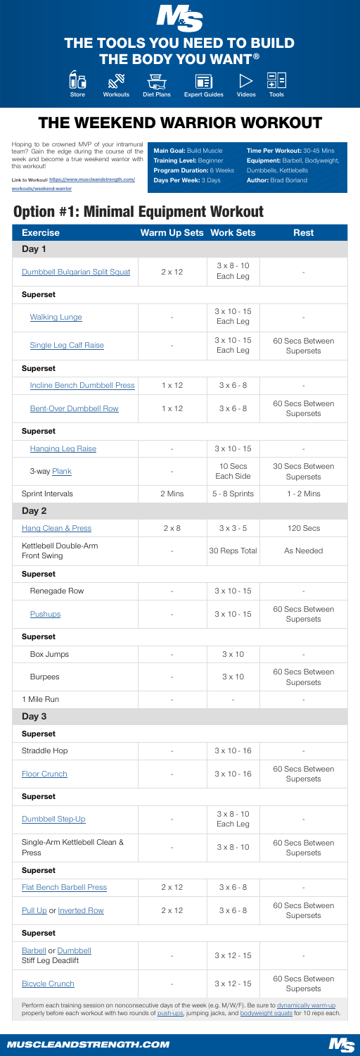### Option #1: Minimal Equipment Workout

| <b>Exercise</b>                | <b>Warm Up Sets Work Sets</b> |                               | <b>Rest</b> |
|--------------------------------|-------------------------------|-------------------------------|-------------|
| Day 1                          |                               |                               |             |
| Dumbbell Bulgarian Split Squat | $2 \times 12$                 | $3 \times 8 - 10$<br>Each Leg |             |

### Superset

| <b>Walking Lunge</b>                               |               | $3 \times 10 - 15$<br>Each Leg |                                            |
|----------------------------------------------------|---------------|--------------------------------|--------------------------------------------|
| <b>Single Leg Calf Raise</b>                       |               | $3 \times 10 - 15$<br>Each Leg | <b>60 Secs Between</b><br><b>Supersets</b> |
| <b>Superset</b>                                    |               |                                |                                            |
| <b>Incline Bench Dumbbell Press</b>                | $1 \times 12$ | $3 \times 6 - 8$               |                                            |
| <b>Bent-Over Dumbbell Row</b>                      | $1 \times 12$ | $3 \times 6 - 8$               | <b>60 Secs Between</b><br><b>Supersets</b> |
| <b>Superset</b>                                    |               |                                |                                            |
| <b>Hanging Leg Raise</b>                           |               | $3 \times 10 - 15$             |                                            |
| 3-way Plank                                        |               | 10 Secs<br>Each Side           | <b>30 Secs Between</b><br><b>Supersets</b> |
| <b>Sprint Intervals</b>                            | 2 Mins        | 5 - 8 Sprints                  | $1 - 2$ Mins                               |
| Day 2                                              |               |                                |                                            |
| <b>Hang Clean &amp; Press</b>                      | $2 \times 8$  | $3 \times 3 - 5$               | 120 Secs                                   |
| <b>Kettlebell Double-Arm</b><br><b>Front Swing</b> |               | 30 Reps Total                  | <b>As Needed</b>                           |
| <b>Superset</b>                                    |               |                                |                                            |
| Renegade Row                                       |               | $3 \times 10 - 15$             |                                            |
| Pushups                                            |               | $3 \times 10 - 15$             | 60 Secs Between<br><b>Supersets</b>        |
| <b>Superset</b>                                    |               |                                |                                            |
| Box Jumps                                          |               | $3 \times 10$                  |                                            |
| <b>Burpees</b>                                     |               | $3 \times 10$                  | <b>60 Secs Between</b><br><b>Supersets</b> |
| 1 Mile Run                                         |               |                                |                                            |
| Day 3                                              |               |                                |                                            |
| <b>Superset</b>                                    |               |                                |                                            |
| Straddle Hop                                       |               | $3 \times 10 - 16$             |                                            |
| <b>Floor Crunch</b>                                |               | $3 \times 10 - 16$             | 60 Secs Between<br><b>Supersets</b>        |
| <b>Superset</b>                                    |               |                                |                                            |
| Dumbbell Step-Up                                   |               | $3 \times 8 - 10$<br>Each Leg  |                                            |
| Single-Arm Kettlebell Clean &<br>Press             |               | $3 \times 8 - 10$              | <b>60 Secs Between</b><br><b>Supersets</b> |
| <b>Superset</b>                                    |               |                                |                                            |
| <b>Flat Bench Barbell Press</b>                    | $2 \times 12$ | $3 \times 6 - 8$               |                                            |

Time Per Workout: 30-45 Mins **Equipment: Barbell, Bodyweight,** Dumbbells, Kettlebells Author: Brad Borland

| <b>Pull Up or Inverted Row</b>                          | $2 \times 12$ | $3 \times 6 - 8$   | 60 Secs Between<br><b>Supersets</b>        |
|---------------------------------------------------------|---------------|--------------------|--------------------------------------------|
| <b>Superset</b>                                         |               |                    |                                            |
| <b>Barbell or Dumbbell</b><br><b>Stiff Leg Deadlift</b> |               | $3 \times 12 - 15$ |                                            |
| <b>Bicycle Crunch</b>                                   | $\equiv$      | $3 \times 12 - 15$ | <b>60 Secs Between</b><br><b>Supersets</b> |

Perform each training session on nonconsecutiv[e days of t](https://www.muscleandstrength.com/exercises/push-up.html)he week (e.g. M/W/[F\). Be sure to dyna](https://www.muscleandstrength.com/exercises/bodyweight-squat.html)[mically warm-up](https://www.muscleandstrength.com/articles/warming-up-for-dummies) properly before each workout with two rounds of push-ups, jumping jacks, and bodyweight squats for 10 reps each.

### *MUSCLEANDSTRENGTH.COM*





### THE TOOLS YOU NEED TO BUILD THE BODY YOU WANT®













Store Workouts Diet Plans Expert Guides Videos Tools

Hoping to be crowned MVP of your intramural team? Gain the edge during the course of the week and become a true weekend warrior with this workout!

Link to Workout: [https://www.muscleandstrength.com/](https://www.muscleandstrength.com/workouts/weekend-warrior) [workouts/weekend-warrior](https://www.muscleandstrength.com/workouts/weekend-warrior)

**Main Goal: Build Muscle Training Level: Beginner** Program Duration: 6 Weeks Days Per Week: 3 Days

# THE WEEKEND WARRIOR WORKOUT